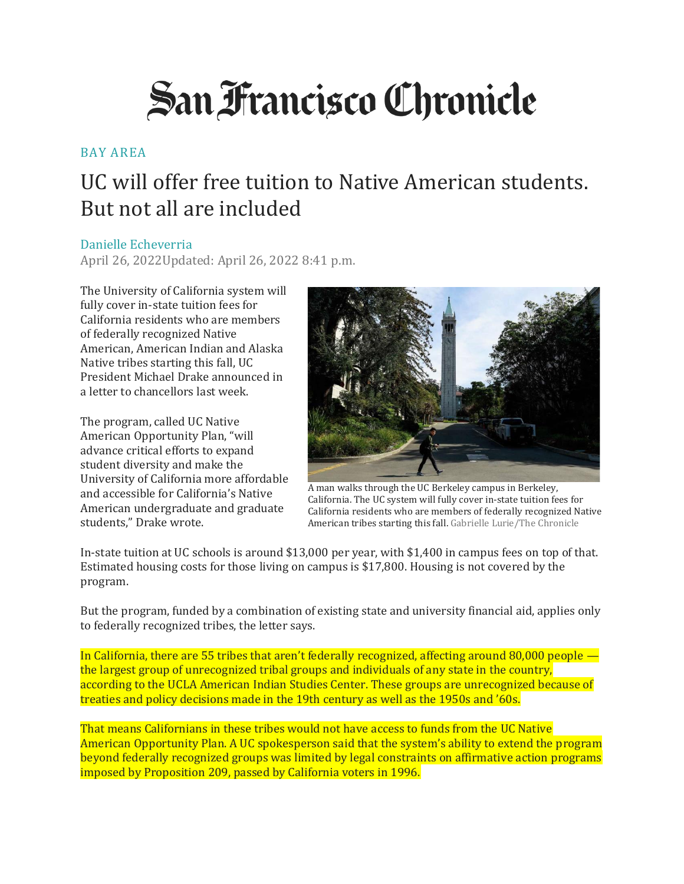## **San Francisco Chronicle**

## [BAY AREA](https://www.sfchronicle.com/bayarea/)

## UC will offer free tuition to Native American students. But not all are included

## [Danielle Echeverria](https://www.sfchronicle.com/author/danielle-echeverria/)

April 26, 2022Updated: April 26, 2022 8:41 p.m.

The University of California system will fully cover in-state tuition fees for California residents who are members of federally recognized Native American, American Indian and Alaska Native tribes starting this fall, UC President Michael Drake announced in a [letter to chancellors](https://htv-prod-media.s3.amazonaws.com/files/letter-from-president-drake-chancellors-1651002389.pdf) last week.

The program, called UC Native American Opportunity Plan, "will advance critical efforts to expand student diversity and make the University of California more affordable and accessible for California's Native American undergraduate and graduate students," Drake wrote.



A man walks through the UC Berkeley campus in Berkeley, California. The UC system will fully cover in-state tuition fees for California residents who are members of federally recognized Native American tribes starting this fall. Gabrielle Lurie/The Chronicle

[In-state tuition at UC schools](https://admission.universityofcalifornia.edu/tuition-financial-aid/tuition-cost-of-attendance/) is around \$13,000 per year, with \$1,400 in campus fees on top of that. Estimated housing costs for those living on campus is \$17,800. Housing is not covered by the program.

But the program, funded by a combination of existing state and university financial aid, applies only to federally recognized tribes, the letter says.

In California, there are 55 tribes that aren't federally recognized, affecting around 80,000 people the largest group of unrecognized tribal groups and individuals of any state in the country, according to the [UCLA American Indian Studies Center.](https://www.aisc.ucla.edu/ca/tribes14.htm) These groups are unrecognized because of treaties and policy decisions made in the 19th century as well as the 1950s and '60s.

That means Californians in these tribes would not have access to funds from the UC Native American Opportunity Plan. A UC spokesperson said that the system's ability to extend the program beyond federally recognized groups was limited by legal constraints on affirmative action programs imposed by Proposition 209, passed by California voters in 1996.